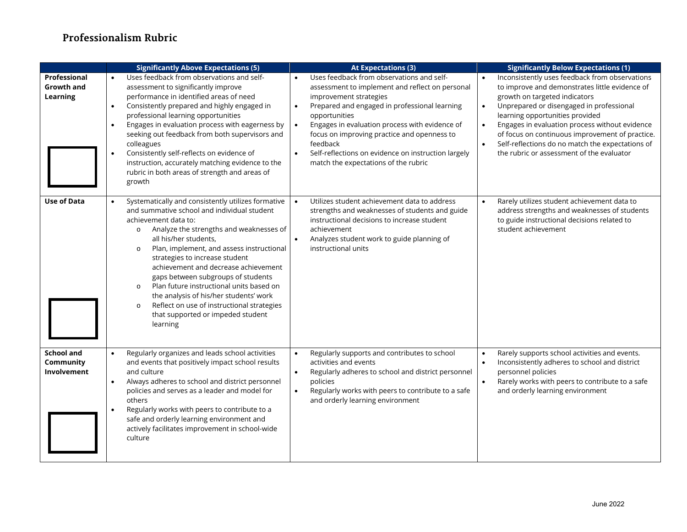## **Professionalism Rubric**

|                                               | <b>Significantly Above Expectations (5)</b>                                                                                                                                                                                                                                                                                                                                                                                                                                                                                                                                                 | <b>At Expectations (3)</b>                                                                                                                                                                                                                                                                                                                                                                                                                  | <b>Significantly Below Expectations (1)</b>                                                                                                                                                                                                                                                                                                                                                                                                      |
|-----------------------------------------------|---------------------------------------------------------------------------------------------------------------------------------------------------------------------------------------------------------------------------------------------------------------------------------------------------------------------------------------------------------------------------------------------------------------------------------------------------------------------------------------------------------------------------------------------------------------------------------------------|---------------------------------------------------------------------------------------------------------------------------------------------------------------------------------------------------------------------------------------------------------------------------------------------------------------------------------------------------------------------------------------------------------------------------------------------|--------------------------------------------------------------------------------------------------------------------------------------------------------------------------------------------------------------------------------------------------------------------------------------------------------------------------------------------------------------------------------------------------------------------------------------------------|
| Professional<br><b>Growth and</b><br>Learning | Uses feedback from observations and self-<br>assessment to significantly improve<br>performance in identified areas of need<br>Consistently prepared and highly engaged in<br>$\bullet$<br>professional learning opportunities<br>Engages in evaluation process with eagerness by<br>seeking out feedback from both supervisors and<br>colleagues<br>Consistently self-reflects on evidence of<br>instruction, accurately matching evidence to the<br>rubric in both areas of strength and areas of<br>growth                                                                               | Uses feedback from observations and self-<br>assessment to implement and reflect on personal<br>improvement strategies<br>Prepared and engaged in professional learning<br>$\bullet$<br>opportunities<br>Engages in evaluation process with evidence of<br>$\bullet$<br>focus on improving practice and openness to<br>feedback<br>Self-reflections on evidence on instruction largely<br>$\bullet$<br>match the expectations of the rubric | Inconsistently uses feedback from observations<br>to improve and demonstrates little evidence of<br>growth on targeted indicators<br>Unprepared or disengaged in professional<br>$\bullet$<br>learning opportunities provided<br>Engages in evaluation process without evidence<br>$\bullet$<br>of focus on continuous improvement of practice.<br>Self-reflections do no match the expectations of<br>the rubric or assessment of the evaluator |
| <b>Use of Data</b>                            | Systematically and consistently utilizes formative<br>and summative school and individual student<br>achievement data to:<br>Analyze the strengths and weaknesses of<br>$\circ$<br>all his/her students,<br>Plan, implement, and assess instructional<br>$\circ$<br>strategies to increase student<br>achievement and decrease achievement<br>gaps between subgroups of students<br>Plan future instructional units based on<br>$\circ$<br>the analysis of his/her students' work<br>Reflect on use of instructional strategies<br>$\circ$<br>that supported or impeded student<br>learning | Utilizes student achievement data to address<br>strengths and weaknesses of students and guide<br>instructional decisions to increase student<br>achievement<br>Analyzes student work to guide planning of<br>instructional units                                                                                                                                                                                                           | Rarely utilizes student achievement data to<br>address strengths and weaknesses of students<br>to guide instructional decisions related to<br>student achievement                                                                                                                                                                                                                                                                                |
| <b>School and</b><br>Community<br>Involvement | Regularly organizes and leads school activities<br>$\bullet$<br>and events that positively impact school results<br>and culture<br>Always adheres to school and district personnel<br>$\bullet$<br>policies and serves as a leader and model for<br>others<br>Regularly works with peers to contribute to a<br>safe and orderly learning environment and<br>actively facilitates improvement in school-wide<br>culture                                                                                                                                                                      | Regularly supports and contributes to school<br>$\bullet$<br>activities and events<br>Regularly adheres to school and district personnel<br>policies<br>Regularly works with peers to contribute to a safe<br>$\bullet$<br>and orderly learning environment                                                                                                                                                                                 | Rarely supports school activities and events.<br>$\bullet$<br>Inconsistently adheres to school and district<br>$\bullet$<br>personnel policies<br>Rarely works with peers to contribute to a safe<br>and orderly learning environment                                                                                                                                                                                                            |